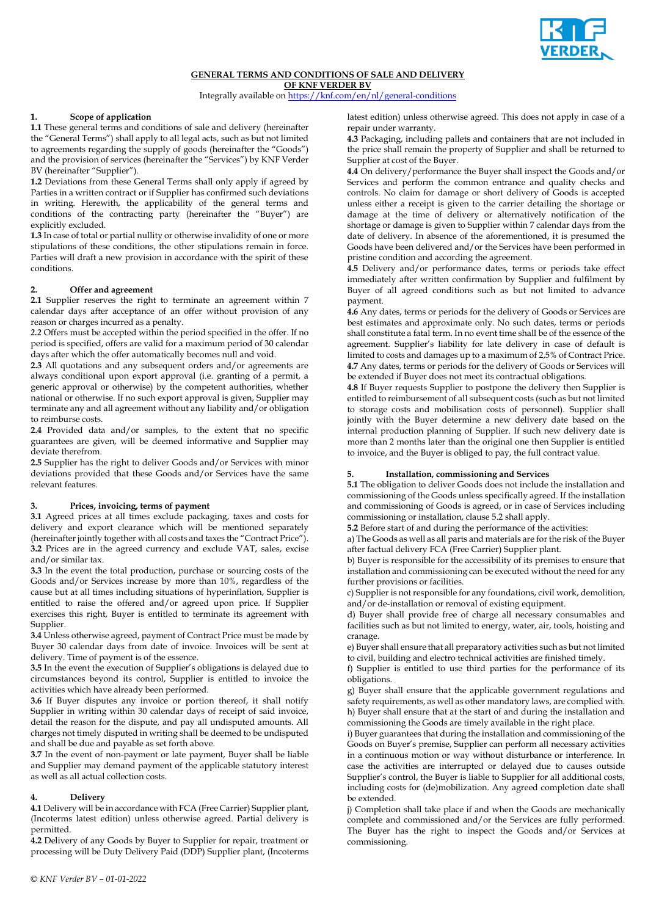

# **GENERAL TERMS AND CONDITIONS OF SALE AND DELIVERY**

**OF KNF VERDER BV**

Integrally available o[n https://knf.com/en/nl/general-conditions](https://eur02.safelinks.protection.outlook.com/?url=https%3A%2F%2Fknf.com%2Fen%2Fnl%2Fgeneral-conditions&data=04%7C01%7CMariette.Noe%40verder.com%7C97acbebd77824086438408d9bfdf796d%7Cbf4b7e70b390494fb7fb876d4b9d8377%7C0%7C0%7C637751788793585717%7CUnknown%7CTWFpbGZsb3d8eyJWIjoiMC4wLjAwMDAiLCJQIjoiV2luMzIiLCJBTiI6Ik1haWwiLCJXVCI6Mn0%3D%7C3000&sdata=5WmM3WIlp2WCT42xOkPbnSTPjzRw02NjZlEWRf3veGg%3D&reserved=0)

## **1. Scope of application**

**1.1** These general terms and conditions of sale and delivery (hereinafter the "General Terms") shall apply to all legal acts, such as but not limited to agreements regarding the supply of goods (hereinafter the "Goods") and the provision of services (hereinafter the "Services") by KNF Verder BV (hereinafter "Supplier").

**1.2** Deviations from these General Terms shall only apply if agreed by Parties in a written contract or if Supplier has confirmed such deviations in writing. Herewith, the applicability of the general terms and conditions of the contracting party (hereinafter the "Buyer") are explicitly excluded.

**1.3** In case of total or partial nullity or otherwise invalidity of one or more stipulations of these conditions, the other stipulations remain in force. Parties will draft a new provision in accordance with the spirit of these conditions.

## **2. Offer and agreement**

2.1 Supplier reserves the right to terminate an agreement within 7 calendar days after acceptance of an offer without provision of any reason or charges incurred as a penalty.

*2.2* Offers must be accepted within the period specified in the offer. If no period is specified, offers are valid for a maximum period of 30 calendar days after which the offer automatically becomes null and void.

**2.3** All quotations and any subsequent orders and/or agreements are always conditional upon export approval (i.e. granting of a permit, a generic approval or otherwise) by the competent authorities, whether national or otherwise. If no such export approval is given, Supplier may terminate any and all agreement without any liability and/or obligation to reimburse costs.

**2.4** Provided data and/or samples, to the extent that no specific guarantees are given, will be deemed informative and Supplier may deviate therefrom.

**2.5** Supplier has the right to deliver Goods and/or Services with minor deviations provided that these Goods and/or Services have the same relevant features.

## **3. Prices, invoicing, terms of payment**

**3.1** Agreed prices at all times exclude packaging, taxes and costs for delivery and export clearance which will be mentioned separately (hereinafter jointly together with all costs and taxes the "Contract Price"). **3.2** Prices are in the agreed currency and exclude VAT, sales, excise and/or similar tax.

**3.3** In the event the total production, purchase or sourcing costs of the Goods and/or Services increase by more than 10%, regardless of the cause but at all times including situations of hyperinflation, Supplier is entitled to raise the offered and/or agreed upon price. If Supplier exercises this right, Buyer is entitled to terminate its agreement with Supplier.

**3.4** Unless otherwise agreed, payment of Contract Price must be made by Buyer 30 calendar days from date of invoice. Invoices will be sent at delivery. Time of payment is of the essence.

**3.5** In the event the execution of Supplier's obligations is delayed due to circumstances beyond its control, Supplier is entitled to invoice the activities which have already been performed.

**3.6** If Buyer disputes any invoice or portion thereof, it shall notify Supplier in writing within 30 calendar days of receipt of said invoice, detail the reason for the dispute, and pay all undisputed amounts. All charges not timely disputed in writing shall be deemed to be undisputed and shall be due and payable as set forth above.

**3.7** In the event of non-payment or late payment, Buyer shall be liable and Supplier may demand payment of the applicable statutory interest as well as all actual collection costs.

## **4. Delivery**

**4.1** Delivery will be in accordance with FCA (Free Carrier) Supplier plant, (Incoterms latest edition) unless otherwise agreed. Partial delivery is permitted.

**4.2** Delivery of any Goods by Buyer to Supplier for repair, treatment or processing will be Duty Delivery Paid (DDP) Supplier plant, (Incoterms latest edition) unless otherwise agreed. This does not apply in case of a repair under warranty.

**4.3** Packaging, including pallets and containers that are not included in the price shall remain the property of Supplier and shall be returned to Supplier at cost of the Buyer.

**4.4** On delivery/performance the Buyer shall inspect the Goods and/or Services and perform the common entrance and quality checks and controls. No claim for damage or short delivery of Goods is accepted unless either a receipt is given to the carrier detailing the shortage or damage at the time of delivery or alternatively notification of the shortage or damage is given to Supplier within 7 calendar days from the date of delivery. In absence of the aforementioned, it is presumed the Goods have been delivered and/or the Services have been performed in pristine condition and according the agreement.

**4.5** Delivery and/or performance dates, terms or periods take effect immediately after written confirmation by Supplier and fulfilment by Buyer of all agreed conditions such as but not limited to advance payment.

**4.6** Any dates, terms or periods for the delivery of Goods or Services are best estimates and approximate only. No such dates, terms or periods shall constitute a fatal term. In no event time shall be of the essence of the agreement. Supplier's liability for late delivery in case of default is limited to costs and damages up to a maximum of 2,5% of Contract Price. **4.7** Any dates, terms or periods for the delivery of Goods or Services will be extended if Buyer does not meet its contractual obligations.

**4.8** If Buyer requests Supplier to postpone the delivery then Supplier is entitled to reimbursement of all subsequent costs (such as but not limited to storage costs and mobilisation costs of personnel). Supplier shall jointly with the Buyer determine a new delivery date based on the internal production planning of Supplier. If such new delivery date is more than 2 months later than the original one then Supplier is entitled to invoice, and the Buyer is obliged to pay, the full contract value.

## **5. Installation, commissioning and Services**

**5.1** The obligation to deliver Goods does not include the installation and commissioning of the Goods unless specifically agreed. If the installation and commissioning of Goods is agreed, or in case of Services including commissioning or installation, clause 5.2 shall apply.

**5.2** Before start of and during the performance of the activities:

a) The Goods as well as all parts and materials are for the risk of the Buyer after factual delivery FCA (Free Carrier) Supplier plant.

b) Buyer is responsible for the accessibility of its premises to ensure that installation and commissioning can be executed without the need for any further provisions or facilities.

c) Supplier is not responsible for any foundations, civil work, demolition, and/or de-installation or removal of existing equipment.

d) Buyer shall provide free of charge all necessary consumables and facilities such as but not limited to energy, water, air, tools, hoisting and cranage.

e) Buyer shall ensure that all preparatory activities such as but not limited to civil, building and electro technical activities are finished timely.

f) Supplier is entitled to use third parties for the performance of its obligations.

g) Buyer shall ensure that the applicable government regulations and safety requirements, as well as other mandatory laws, are complied with. h) Buyer shall ensure that at the start of and during the installation and commissioning the Goods are timely available in the right place.

i) Buyer guarantees that during the installation and commissioning of the Goods on Buyer's premise, Supplier can perform all necessary activities in a continuous motion or way without disturbance or interference. In case the activities are interrupted or delayed due to causes outside Supplier's control, the Buyer is liable to Supplier for all additional costs, including costs for (de)mobilization. Any agreed completion date shall be extended.

j) Completion shall take place if and when the Goods are mechanically complete and commissioned and/or the Services are fully performed. The Buyer has the right to inspect the Goods and/or Services at commissioning.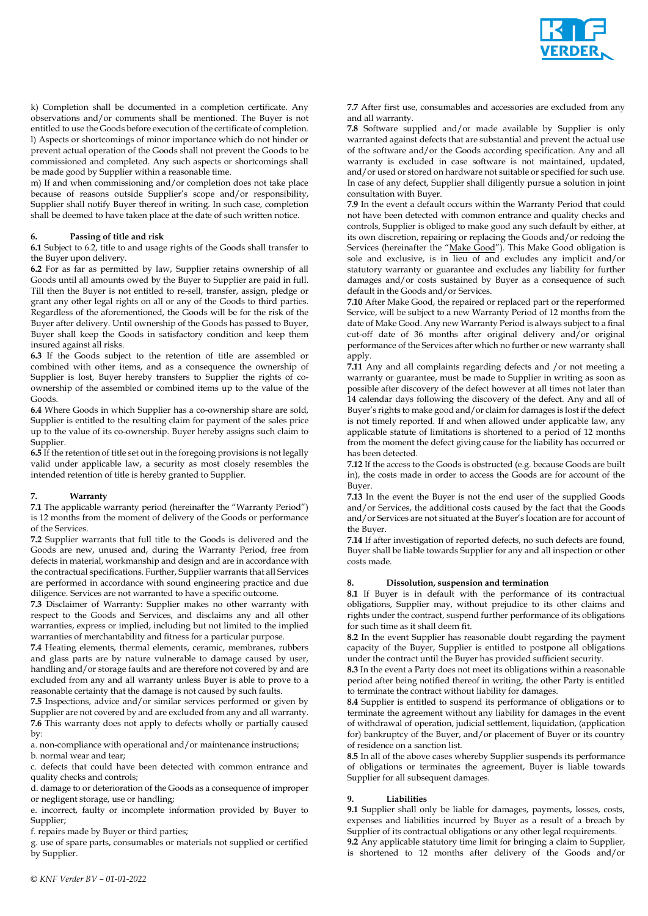

k) Completion shall be documented in a completion certificate. Any observations and/or comments shall be mentioned. The Buyer is not entitled to use the Goods before execution of the certificate of completion. l) Aspects or shortcomings of minor importance which do not hinder or prevent actual operation of the Goods shall not prevent the Goods to be commissioned and completed. Any such aspects or shortcomings shall be made good by Supplier within a reasonable time.

m) If and when commissioning and/or completion does not take place because of reasons outside Supplier's scope and/or responsibility, Supplier shall notify Buyer thereof in writing. In such case, completion shall be deemed to have taken place at the date of such written notice.

## **6. Passing of title and risk**

**6.1** Subject to 6.2, title to and usage rights of the Goods shall transfer to the Buyer upon delivery.

**6.2** For as far as permitted by law, Supplier retains ownership of all Goods until all amounts owed by the Buyer to Supplier are paid in full. Till then the Buyer is not entitled to re-sell, transfer, assign, pledge or grant any other legal rights on all or any of the Goods to third parties. Regardless of the aforementioned, the Goods will be for the risk of the Buyer after delivery. Until ownership of the Goods has passed to Buyer, Buyer shall keep the Goods in satisfactory condition and keep them insured against all risks.

**6.3** If the Goods subject to the retention of title are assembled or combined with other items, and as a consequence the ownership of Supplier is lost, Buyer hereby transfers to Supplier the rights of coownership of the assembled or combined items up to the value of the Goods.

**6.4** Where Goods in which Supplier has a co-ownership share are sold, Supplier is entitled to the resulting claim for payment of the sales price up to the value of its co-ownership. Buyer hereby assigns such claim to Supplier.

**6.5** If the retention of title set out in the foregoing provisions is not legally valid under applicable law, a security as most closely resembles the intended retention of title is hereby granted to Supplier.

## **7. Warranty**

**7.1** The applicable warranty period (hereinafter the "Warranty Period") is 12 months from the moment of delivery of the Goods or performance of the Services.

**7.2** Supplier warrants that full title to the Goods is delivered and the Goods are new, unused and, during the Warranty Period, free from defects in material, workmanship and design and are in accordance with the contractual specifications. Further, Supplier warrants that all Services are performed in accordance with sound engineering practice and due diligence. Services are not warranted to have a specific outcome.

**7.3** Disclaimer of Warranty: Supplier makes no other warranty with respect to the Goods and Services, and disclaims any and all other warranties, express or implied, including but not limited to the implied warranties of merchantability and fitness for a particular purpose.

**7.4** Heating elements, thermal elements, ceramic, membranes, rubbers and glass parts are by nature vulnerable to damage caused by user, handling and/or storage faults and are therefore not covered by and are excluded from any and all warranty unless Buyer is able to prove to a reasonable certainty that the damage is not caused by such faults.

**7.5** Inspections, advice and/or similar services performed or given by Supplier are not covered by and are excluded from any and all warranty. **7.6** This warranty does not apply to defects wholly or partially caused by:

a. non-compliance with operational and/or maintenance instructions; b. normal wear and tear;

c. defects that could have been detected with common entrance and quality checks and controls;

d. damage to or deterioration of the Goods as a consequence of improper or negligent storage, use or handling;

e. incorrect, faulty or incomplete information provided by Buyer to Supplier;

f. repairs made by Buyer or third parties;

g. use of spare parts, consumables or materials not supplied or certified by Supplier.

**7.7** After first use, consumables and accessories are excluded from any and all warranty.

**7.8** Software supplied and/or made available by Supplier is only warranted against defects that are substantial and prevent the actual use of the software and/or the Goods according specification. Any and all warranty is excluded in case software is not maintained, updated, and/or used or stored on hardware not suitable or specified for such use. In case of any defect, Supplier shall diligently pursue a solution in joint consultation with Buyer.

**7.9** In the event a default occurs within the Warranty Period that could not have been detected with common entrance and quality checks and controls, Supplier is obliged to make good any such default by either, at its own discretion, repairing or replacing the Goods and/or redoing the Services (hereinafter the "Make Good"). This Make Good obligation is sole and exclusive, is in lieu of and excludes any implicit and/or statutory warranty or guarantee and excludes any liability for further damages and/or costs sustained by Buyer as a consequence of such default in the Goods and/or Services.

**7.10** After Make Good, the repaired or replaced part or the reperformed Service, will be subject to a new Warranty Period of 12 months from the date of Make Good. Any new Warranty Period is always subject to a final cut-off date of 36 months after original delivery and/or original performance of the Services after which no further or new warranty shall apply.

**7.11** Any and all complaints regarding defects and /or not meeting a warranty or guarantee, must be made to Supplier in writing as soon as possible after discovery of the defect however at all times not later than 14 calendar days following the discovery of the defect. Any and all of Buyer's rights to make good and/or claim for damages is lost if the defect is not timely reported. If and when allowed under applicable law, any applicable statute of limitations is shortened to a period of 12 months from the moment the defect giving cause for the liability has occurred or has been detected.

**7.12** If the access to the Goods is obstructed (e.g. because Goods are built in), the costs made in order to access the Goods are for account of the Buyer.

**7.13** In the event the Buyer is not the end user of the supplied Goods and/or Services, the additional costs caused by the fact that the Goods and/or Services are not situated at the Buyer's location are for account of the Buyer.

**7.14** If after investigation of reported defects, no such defects are found, Buyer shall be liable towards Supplier for any and all inspection or other costs made.

#### **8. Dissolution, suspension and termination**

**8.1** If Buyer is in default with the performance of its contractual obligations, Supplier may, without prejudice to its other claims and rights under the contract, suspend further performance of its obligations for such time as it shall deem fit.

**8.2** In the event Supplier has reasonable doubt regarding the payment capacity of the Buyer, Supplier is entitled to postpone all obligations under the contract until the Buyer has provided sufficient security.

**8.3** In the event a Party does not meet its obligations within a reasonable period after being notified thereof in writing, the other Party is entitled to terminate the contract without liability for damages.

**8.4** Supplier is entitled to suspend its performance of obligations or to terminate the agreement without any liability for damages in the event of withdrawal of operation, judicial settlement, liquidation, (application for) bankruptcy of the Buyer, and/or placement of Buyer or its country of residence on a sanction list.

**8.5** In all of the above cases whereby Supplier suspends its performance of obligations or terminates the agreement, Buyer is liable towards Supplier for all subsequent damages.

#### **9. Liabilities**

**9.1** Supplier shall only be liable for damages, payments, losses, costs, expenses and liabilities incurred by Buyer as a result of a breach by Supplier of its contractual obligations or any other legal requirements. **9.2** Any applicable statutory time limit for bringing a claim to Supplier, is shortened to 12 months after delivery of the Goods and/or